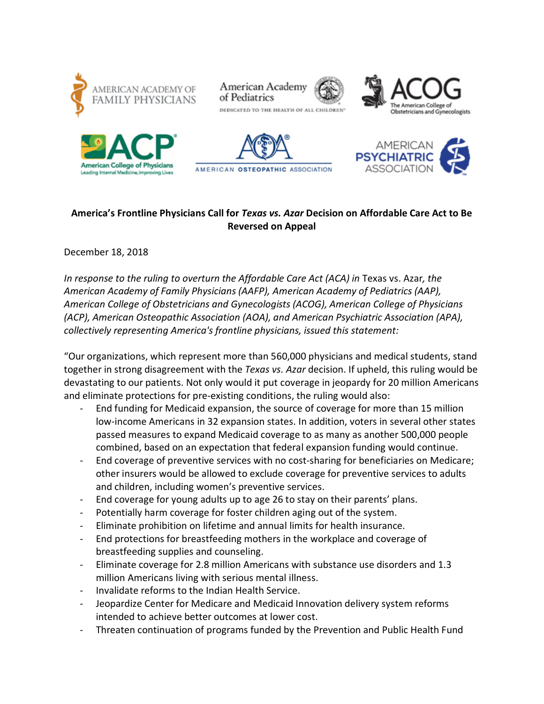











# **America's Frontline Physicians Call for** *Texas vs. Azar* **Decision on Affordable Care Act to Be Reversed on Appeal**

## December 18, 2018

*In response to the ruling to overturn the Affordable Care Act (ACA) in* Texas vs. Azar*, the American Academy of Family Physicians (AAFP), American Academy of Pediatrics (AAP), American College of Obstetricians and Gynecologists (ACOG), American College of Physicians (ACP), American Osteopathic Association (AOA), and American Psychiatric Association (APA), collectively representing America's frontline physicians, issued this statement:*

"Our organizations, which represent more than 560,000 physicians and medical students, stand together in strong disagreement with the *Texas vs. Azar* decision. If upheld, this ruling would be devastating to our patients. Not only would it put coverage in jeopardy for 20 million Americans and eliminate protections for pre-existing conditions, the ruling would also:

- End funding for Medicaid expansion, the source of coverage for more than 15 million low-income Americans in 32 expansion states. In addition, voters in several other states passed measures to expand Medicaid coverage to as many as another 500,000 people combined, based on an expectation that federal expansion funding would continue.
- End coverage of preventive services with no cost-sharing for beneficiaries on Medicare; other insurers would be allowed to exclude coverage for preventive services to adults and children, including women's preventive services.
- End coverage for young adults up to age 26 to stay on their parents' plans.
- Potentially harm coverage for foster children aging out of the system.
- Eliminate prohibition on lifetime and annual limits for health insurance.
- End protections for breastfeeding mothers in the workplace and coverage of breastfeeding supplies and counseling.
- Eliminate coverage for 2.8 million Americans with substance use disorders and 1.3 million Americans living with serious mental illness.
- Invalidate reforms to the Indian Health Service.
- Jeopardize Center for Medicare and Medicaid Innovation delivery system reforms intended to achieve better outcomes at lower cost.
- Threaten continuation of programs funded by the Prevention and Public Health Fund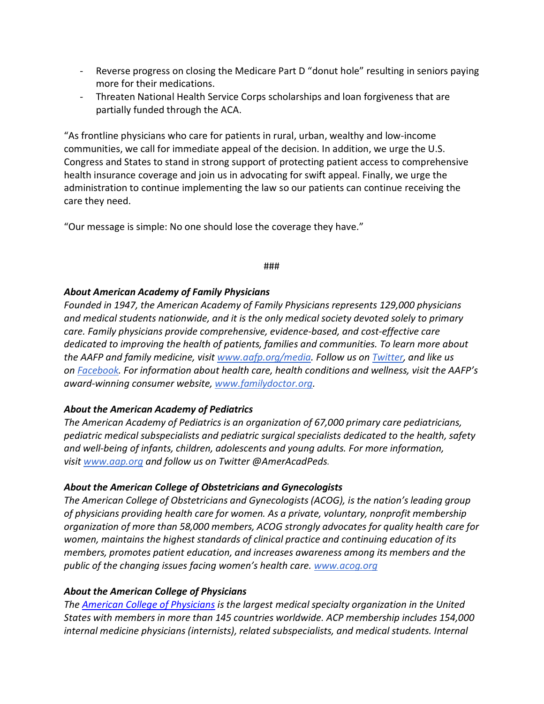- Reverse progress on closing the Medicare Part D "donut hole" resulting in seniors paying more for their medications.
- Threaten National Health Service Corps scholarships and loan forgiveness that are partially funded through the ACA.

"As frontline physicians who care for patients in rural, urban, wealthy and low-income communities, we call for immediate appeal of the decision. In addition, we urge the U.S. Congress and States to stand in strong support of protecting patient access to comprehensive health insurance coverage and join us in advocating for swift appeal. Finally, we urge the administration to continue implementing the law so our patients can continue receiving the care they need.

"Our message is simple: No one should lose the coverage they have."

#### ###

#### *About American Academy of Family Physicians*

*Founded in 1947, the American Academy of Family Physicians represents 129,000 physicians and medical students nationwide, and it is the only medical society devoted solely to primary care. Family physicians provide comprehensive, evidence-based, and cost-effective care dedicated to improving the health of patients, families and communities. To learn more about the AAFP and family medicine, visit [www.aafp.org/media.](https://www.aafp.org/media-center.html) Follow us on [Twitter,](https://twitter.com/aafp) and like us on [Facebook.](https://www.facebook.com/familymed/) For information about health care, health conditions and wellness, visit the AAFP's award-winning consumer website, [www.familydoctor.org.](http://www.familydoctor.org./)*

## *About the American Academy of Pediatrics*

*The American Academy of Pediatrics is an organization of 67,000 primary care pediatricians, pediatric medical subspecialists and pediatric surgical specialists dedicated to the health, safety and well-being of infants, children, adolescents and young adults. For more information, visit [www.aap.org](http://www.aap.org/) and follow us on Twitter @AmerAcadPeds.*

## *About the American College of Obstetricians and Gynecologists*

*The American College of Obstetricians and Gynecologists (ACOG), is the nation's leading group of physicians providing health care for women. As a private, voluntary, nonprofit membership organization of more than 58,000 members, ACOG strongly advocates for quality health care for women, maintains the highest standards of clinical practice and continuing education of its members, promotes patient education, and increases awareness among its members and the public of the changing issues facing women's health care. [www.acog.org](https://www.acog.org/)*

## *About the American College of Physicians*

*The [American College of Physicians](http://www.acponline.org/) is the largest medical specialty organization in the United States with members in more than 145 countries worldwide. ACP membership includes 154,000 internal medicine physicians (internists), related subspecialists, and medical students. Internal*